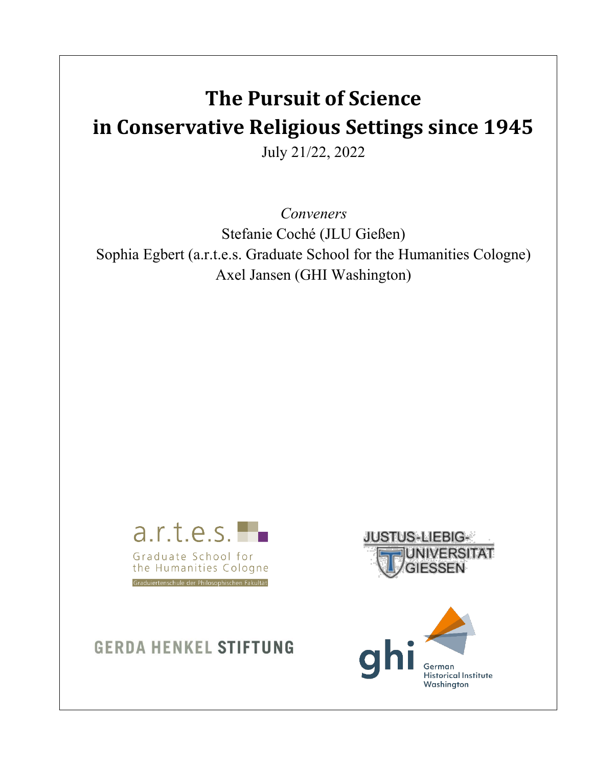# **The Pursuit of Science in Conservative Religious Settings since 1945**

July 21/22, 2022

*Conveners* Stefanie Coché (JLU Gießen) Sophia Egbert (a.r.t.e.s. Graduate School for the Humanities Cologne) Axel Jansen (GHI Washington)







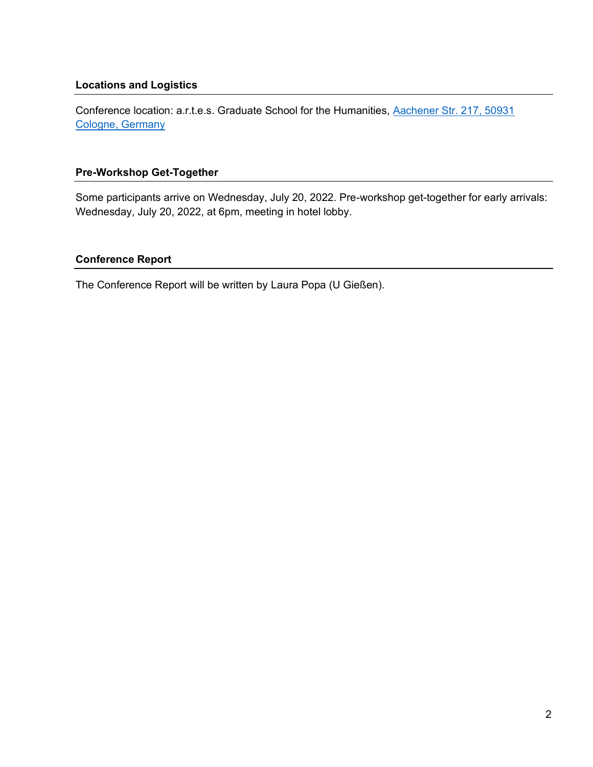#### **Locations and Logistics**

Conference location: a.r.t.e.s. Graduate School for the Humanities, Aachener Str. 217, 50931 [Cologne, Germany](https://goo.gl/maps/nCbHt17czDX8ngR9A)

#### **Pre-Workshop Get-Together**

Some participants arrive on Wednesday, July 20, 2022. Pre-workshop get-together for early arrivals: Wednesday, July 20, 2022, at 6pm, meeting in hotel lobby.

# **Conference Report**

The Conference Report will be written by Laura Popa (U Gießen).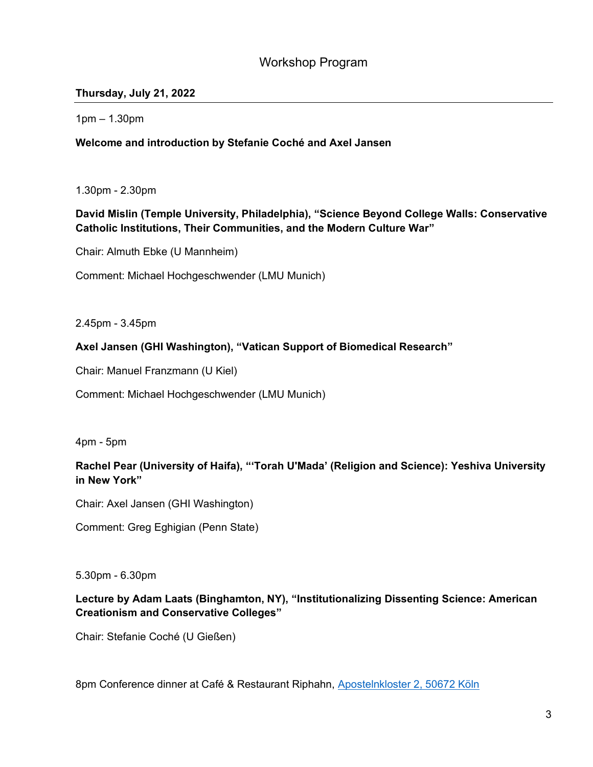# Workshop Program

# **Thursday, July 21, 2022**

 $1pm - 1.30pm$ 

#### **Welcome and introduction by Stefanie Coché and Axel Jansen**

1.30pm - 2.30pm

# **David Mislin (Temple University, Philadelphia), "Science Beyond College Walls: Conservative Catholic Institutions, Their Communities, and the Modern Culture War´**

Chair: Almuth Ebke (U Mannheim)

Comment: Michael Hochgeschwender (LMU Munich)

2.45pm - 3.45pm

#### Axel Jansen (GHI Washington), "Vatican Support of Biomedical Research"

Chair: Manuel Franzmann (U Kiel)

Comment: Michael Hochgeschwender (LMU Munich)

4pm - 5pm

# Rachel Pear (University of Haifa), "'Torah U'Mada' (Religion and Science): Yeshiva University **in New York´**

Chair: Axel Jansen (GHI Washington)

Comment: Greg Eghigian (Penn State)

5.30pm - 6.30pm

# Lecture by Adam Laats (Binghamton, NY), "Institutionalizing Dissenting Science: American **Creationism and Conservative Colleges´**

Chair: Stefanie Coché (U Gießen)

8pm Conference dinner at Café & Restaurant Riphahn, [Apostelnkloster 2, 50672 Köln](https://goo.gl/maps/QfU311pTeotsp8EW8)